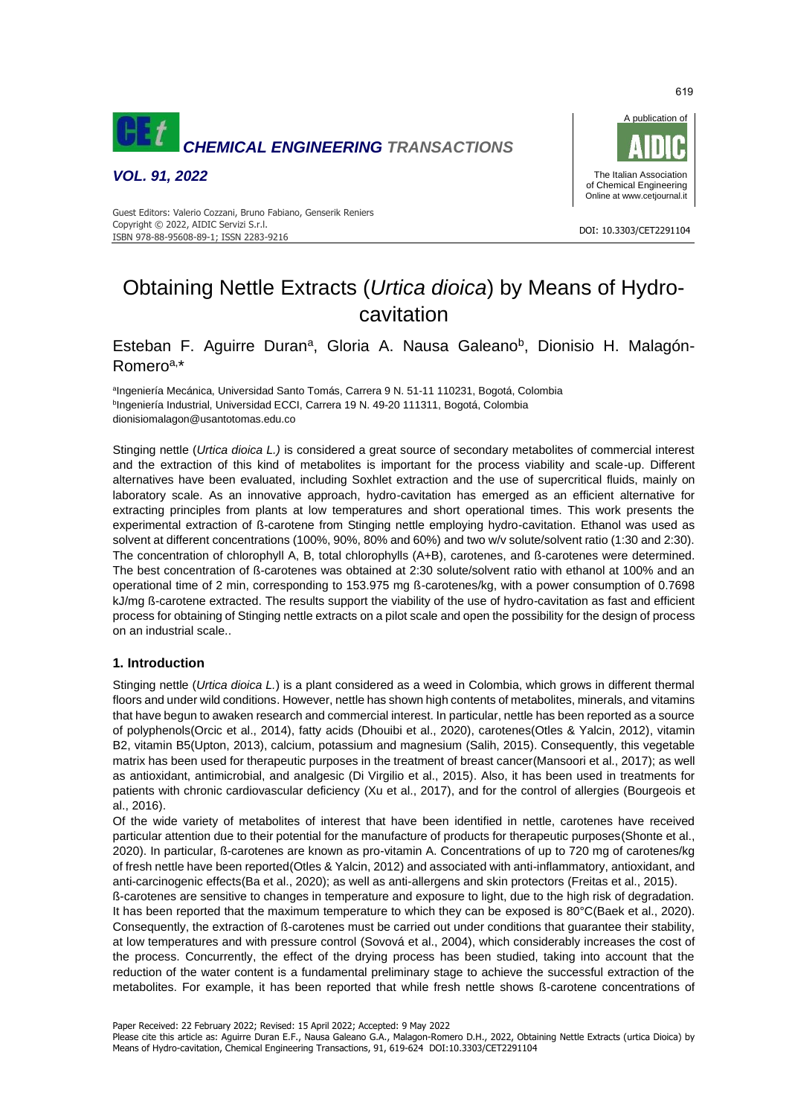

*VOL. 91, 2022*



#### DOI: 10.3303/CET2291104 ISBN 978-88-95608-89-1; ISSN 2283-9216 Guest Editors: Valerio Cozzani, Bruno Fabiano, Genserik Reniers Copyright © 2022, AIDIC Servizi S.r.l.

# Obtaining Nettle Extracts (*Urtica dioica*) by Means of Hydrocavitation

## Esteban F. Aguirre Duran<sup>a</sup>, Gloria A. Nausa Galeano<sup>b</sup>, Dionisio H. Malagón-Romeroa,\*

alngeniería Mecánica, Universidad Santo Tomás, Carrera 9 N. 51-11 110231, Bogotá, Colombia <sup>b</sup>Ingeniería Industrial, Universidad ECCI, Carrera 19 N. 49-20 111311, Bogotá, Colombia dionisiomalagon@usantotomas.edu.co

Stinging nettle (*Urtica dioica L.)* is considered a great source of secondary metabolites of commercial interest and the extraction of this kind of metabolites is important for the process viability and scale-up. Different alternatives have been evaluated, including Soxhlet extraction and the use of supercritical fluids, mainly on laboratory scale. As an innovative approach, hydro-cavitation has emerged as an efficient alternative for extracting principles from plants at low temperatures and short operational times. This work presents the experimental extraction of ß-carotene from Stinging nettle employing hydro-cavitation. Ethanol was used as solvent at different concentrations (100%, 90%, 80% and 60%) and two w/v solute/solvent ratio (1:30 and 2:30). The concentration of chlorophyll A, B, total chlorophylls (A+B), carotenes, and ß-carotenes were determined. The best concentration of ß-carotenes was obtained at 2:30 solute/solvent ratio with ethanol at 100% and an operational time of 2 min, corresponding to 153.975 mg ß-carotenes/kg, with a power consumption of 0.7698 kJ/mg ß-carotene extracted. The results support the viability of the use of hydro-cavitation as fast and efficient process for obtaining of Stinging nettle extracts on a pilot scale and open the possibility for the design of process on an industrial scale..

### **1. Introduction**

Stinging nettle (*Urtica dioica L.*) is a plant considered as a weed in Colombia, which grows in different thermal floors and under wild conditions. However, nettle has shown high contents of metabolites, minerals, and vitamins that have begun to awaken research and commercial interest. In particular, nettle has been reported as a source of polyphenols(Orcic et al., 2014), fatty acids (Dhouibi et al., 2020), carotenes(Otles & Yalcin, 2012), vitamin B2, vitamin B5(Upton, 2013), calcium, potassium and magnesium (Salih, 2015). Consequently, this vegetable matrix has been used for therapeutic purposes in the treatment of breast cancer(Mansoori et al., 2017); as well as antioxidant, antimicrobial, and analgesic (Di Virgilio et al., 2015). Also, it has been used in treatments for patients with chronic cardiovascular deficiency (Xu et al., 2017), and for the control of allergies (Bourgeois et al., 2016).

Of the wide variety of metabolites of interest that have been identified in nettle, carotenes have received particular attention due to their potential for the manufacture of products for therapeutic purposes(Shonte et al., 2020). In particular, ß-carotenes are known as pro-vitamin A. Concentrations of up to 720 mg of carotenes/kg of fresh nettle have been reported(Otles & Yalcin, 2012) and associated with anti-inflammatory, antioxidant, and anti-carcinogenic effects(Ba et al., 2020); as well as anti-allergens and skin protectors (Freitas et al., 2015).

ß-carotenes are sensitive to changes in temperature and exposure to light, due to the high risk of degradation. It has been reported that the maximum temperature to which they can be exposed is 80°C(Baek et al., 2020). Consequently, the extraction of ß-carotenes must be carried out under conditions that guarantee their stability, at low temperatures and with pressure control (Sovová et al., 2004), which considerably increases the cost of the process. Concurrently, the effect of the drying process has been studied, taking into account that the reduction of the water content is a fundamental preliminary stage to achieve the successful extraction of the metabolites. For example, it has been reported that while fresh nettle shows ß-carotene concentrations of

Paper Received: 22 February 2022; Revised: 15 April 2022; Accepted: 9 May 2022

619

Please cite this article as: Aguirre Duran E.F., Nausa Galeano G.A., Malagon-Romero D.H., 2022, Obtaining Nettle Extracts (urtica Dioica) by Means of Hydro-cavitation, Chemical Engineering Transactions, 91, 619-624 DOI:10.3303/CET2291104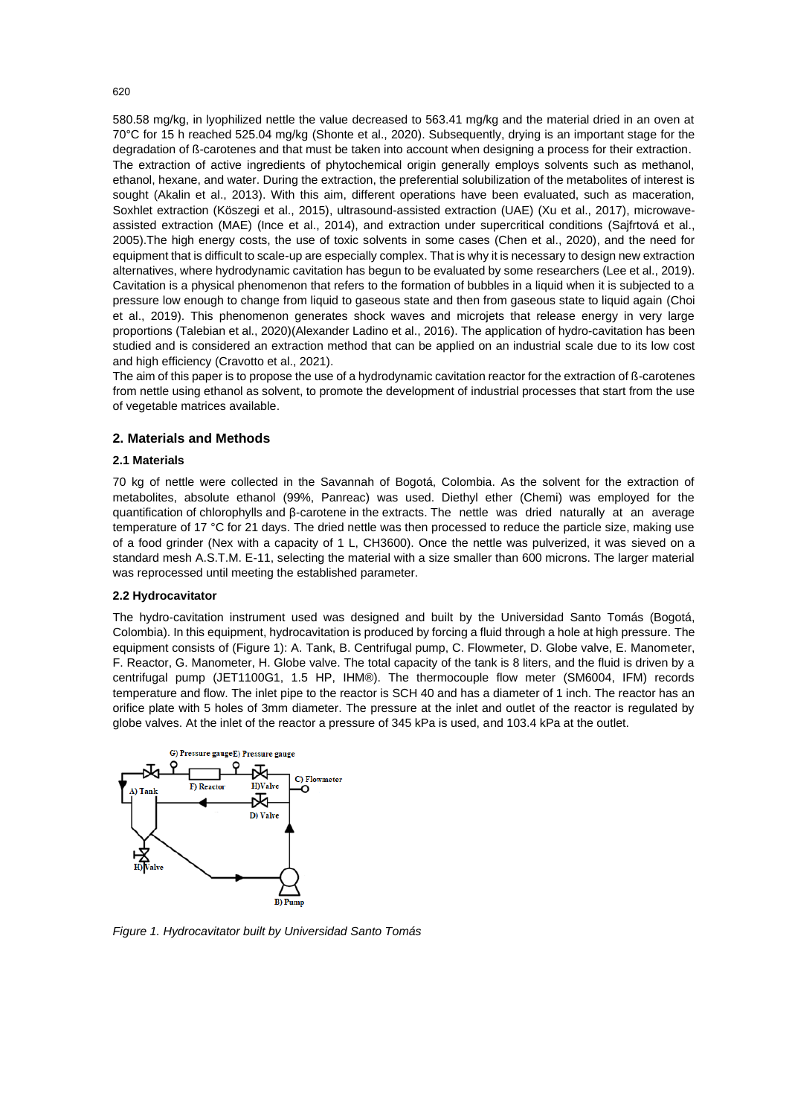580.58 mg/kg, in lyophilized nettle the value decreased to 563.41 mg/kg and the material dried in an oven at 70°C for 15 h reached 525.04 mg/kg (Shonte et al., 2020). Subsequently, drying is an important stage for the degradation of ß-carotenes and that must be taken into account when designing a process for their extraction. The extraction of active ingredients of phytochemical origin generally employs solvents such as methanol, ethanol, hexane, and water. During the extraction, the preferential solubilization of the metabolites of interest is sought (Akalin et al., 2013). With this aim, different operations have been evaluated, such as maceration, Soxhlet extraction (Köszegi et al., 2015), ultrasound-assisted extraction (UAE) (Xu et al., 2017), microwaveassisted extraction (MAE) (Ince et al., 2014), and extraction under supercritical conditions (Sajfrtová et al., 2005).The high energy costs, the use of toxic solvents in some cases (Chen et al., 2020), and the need for equipment that is difficult to scale-up are especially complex. That is why it is necessary to design new extraction alternatives, where hydrodynamic cavitation has begun to be evaluated by some researchers (Lee et al., 2019). Cavitation is a physical phenomenon that refers to the formation of bubbles in a liquid when it is subjected to a pressure low enough to change from liquid to gaseous state and then from gaseous state to liquid again (Choi et al., 2019). This phenomenon generates shock waves and microjets that release energy in very large proportions (Talebian et al., 2020)(Alexander Ladino et al., 2016). The application of hydro-cavitation has been studied and is considered an extraction method that can be applied on an industrial scale due to its low cost and high efficiency (Cravotto et al., 2021).

The aim of this paper is to propose the use of a hydrodynamic cavitation reactor for the extraction of ß-carotenes from nettle using ethanol as solvent, to promote the development of industrial processes that start from the use of vegetable matrices available.

#### **2. Materials and Methods**

#### **2.1 Materials**

70 kg of nettle were collected in the Savannah of Bogotá, Colombia. As the solvent for the extraction of metabolites, absolute ethanol (99%, Panreac) was used. Diethyl ether (Chemi) was employed for the quantification of chlorophylls and β-carotene in the extracts. The nettle was dried naturally at an average temperature of 17 °C for 21 days. The dried nettle was then processed to reduce the particle size, making use of a food grinder (Nex with a capacity of 1 L, CH3600). Once the nettle was pulverized, it was sieved on a standard mesh A.S.T.M. E-11, selecting the material with a size smaller than 600 microns. The larger material was reprocessed until meeting the established parameter.

#### **2.2 Hydrocavitator**

The hydro-cavitation instrument used was designed and built by the Universidad Santo Tomás (Bogotá, Colombia). In this equipment, hydrocavitation is produced by forcing a fluid through a hole at high pressure. The equipment consists of (Figure 1): A. Tank, B. Centrifugal pump, C. Flowmeter, D. Globe valve, E. Manometer, F. Reactor, G. Manometer, H. Globe valve. The total capacity of the tank is 8 liters, and the fluid is driven by a centrifugal pump (JET1100G1, 1.5 HP, IHM®). The thermocouple flow meter (SM6004, IFM) records temperature and flow. The inlet pipe to the reactor is SCH 40 and has a diameter of 1 inch. The reactor has an orifice plate with 5 holes of 3mm diameter. The pressure at the inlet and outlet of the reactor is regulated by globe valves. At the inlet of the reactor a pressure of 345 kPa is used, and 103.4 kPa at the outlet.



*Figure 1. Hydrocavitator built by Universidad Santo Tomás*

620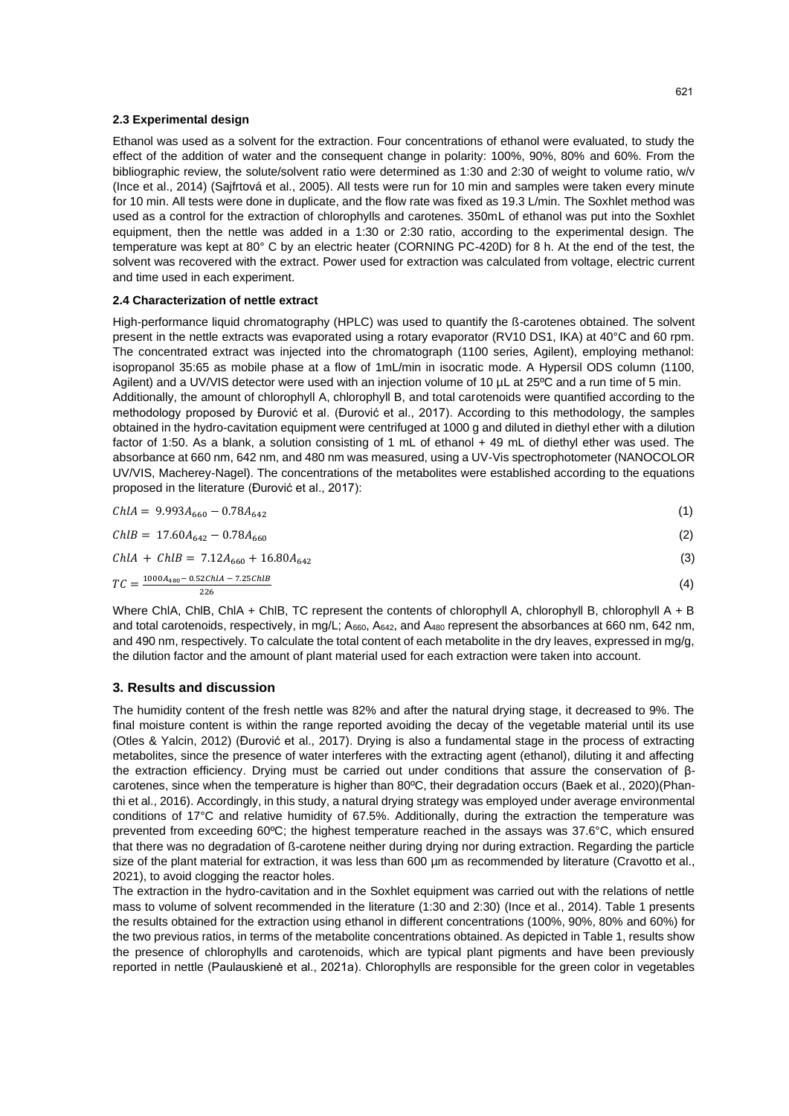#### **2.3 Experimental design**

Ethanol was used as a solvent for the extraction. Four concentrations of ethanol were evaluated, to study the effect of the addition of water and the consequent change in polarity: 100%, 90%, 80% and 60%. From the bibliographic review, the solute/solvent ratio were determined as 1:30 and 2:30 of weight to volume ratio, w/v (Ince et al., 2014) (Sajfrtová et al., 2005). All tests were run for 10 min and samples were taken every minute for 10 min. All tests were done in duplicate, and the flow rate was fixed as 19.3 L/min. The Soxhlet method was used as a control for the extraction of chlorophylls and carotenes. 350mL of ethanol was put into the Soxhlet equipment, then the nettle was added in a 1:30 or 2:30 ratio, according to the experimental design. The temperature was kept at 80° C by an electric heater (CORNING PC-420D) for 8 h. At the end of the test, the solvent was recovered with the extract. Power used for extraction was calculated from voltage, electric current and time used in each experiment.

#### **2.4 Characterization of nettle extract**

High-performance liquid chromatography (HPLC) was used to quantify the ß-carotenes obtained. The solvent present in the nettle extracts was evaporated using a rotary evaporator (RV10 DS1, IKA) at 40°C and 60 rpm. The concentrated extract was injected into the chromatograph (1100 series, Agilent), employing methanol: isopropanol 35:65 as mobile phase at a flow of 1mL/min in isocratic mode. A Hypersil ODS column (1100, Agilent) and a UV/VIS detector were used with an injection volume of 10 µL at 25°C and a run time of 5 min. Additionally, the amount of chlorophyll A, chlorophyll B, and total carotenoids were quantified according to the methodology proposed by Đurović et al. (Đurović et al., 2017). According to this methodology, the samples obtained in the hydro-cavitation equipment were centrifuged at 1000 g and diluted in diethyl ether with a dilution factor of 1:50. As a blank, a solution consisting of 1 mL of ethanol + 49 mL of diethyl ether was used. The absorbance at 660 nm, 642 nm, and 480 nm was measured, using a UV-Vis spectrophotometer (NANOCOLOR UV/VIS, Macherey-Nagel). The concentrations of the metabolites were established according to the equations proposed in the literature (Đurović et al., 2017):

| $ChIA = 9.993A_{660} - 0.78A_{642}$                                         | (1) |
|-----------------------------------------------------------------------------|-----|
| $ChlB = 17.60A_{642} - 0.78A_{660}$                                         | (2) |
| $ChIA + ChIB = 7.12A_{660} + 16.80A_{642}$                                  | (3) |
| $TC = \frac{1000A_{480} - 0.52ChlA - 7.25ChlB}{0.52ChlA - 7.25ChlB}$<br>226 | (4) |
|                                                                             |     |

Where ChIA, ChIB, ChIA + ChIB, TC represent the contents of chlorophyll A, chlorophyll B, chlorophyll A + B and total carotenoids, respectively, in mg/L; A<sub>660</sub>, A<sub>642</sub>, and A<sub>480</sub> represent the absorbances at 660 nm, 642 nm, and 490 nm, respectively. To calculate the total content of each metabolite in the dry leaves, expressed in mg/g, the dilution factor and the amount of plant material used for each extraction were taken into account.

#### **3. Results and discussion**

The humidity content of the fresh nettle was 82% and after the natural drying stage, it decreased to 9%. The final moisture content is within the range reported avoiding the decay of the vegetable material until its use (Otles & Yalcin, 2012) (Đurović et al., 2017). Drying is also a fundamental stage in the process of extracting metabolites, since the presence of water interferes with the extracting agent (ethanol), diluting it and affecting the extraction efficiency. Drying must be carried out under conditions that assure the conservation of βcarotenes, since when the temperature is higher than 80ºC, their degradation occurs (Baek et al., 2020)(Phanthi et al., 2016). Accordingly, in this study, a natural drying strategy was employed under average environmental conditions of 17°C and relative humidity of 67.5%. Additionally, during the extraction the temperature was prevented from exceeding 60ºC; the highest temperature reached in the assays was 37.6°C, which ensured that there was no degradation of ß-carotene neither during drying nor during extraction. Regarding the particle size of the plant material for extraction, it was less than 600 µm as recommended by literature (Cravotto et al., 2021), to avoid clogging the reactor holes.

The extraction in the hydro-cavitation and in the Soxhlet equipment was carried out with the relations of nettle mass to volume of solvent recommended in the literature (1:30 and 2:30) (Ince et al., 2014). Table 1 presents the results obtained for the extraction using ethanol in different concentrations (100%, 90%, 80% and 60%) for the two previous ratios, in terms of the metabolite concentrations obtained. As depicted in Table 1, results show the presence of chlorophylls and carotenoids, which are typical plant pigments and have been previously reported in nettle (Paulauskienė et al., 2021a). Chlorophylls are responsible for the green color in vegetables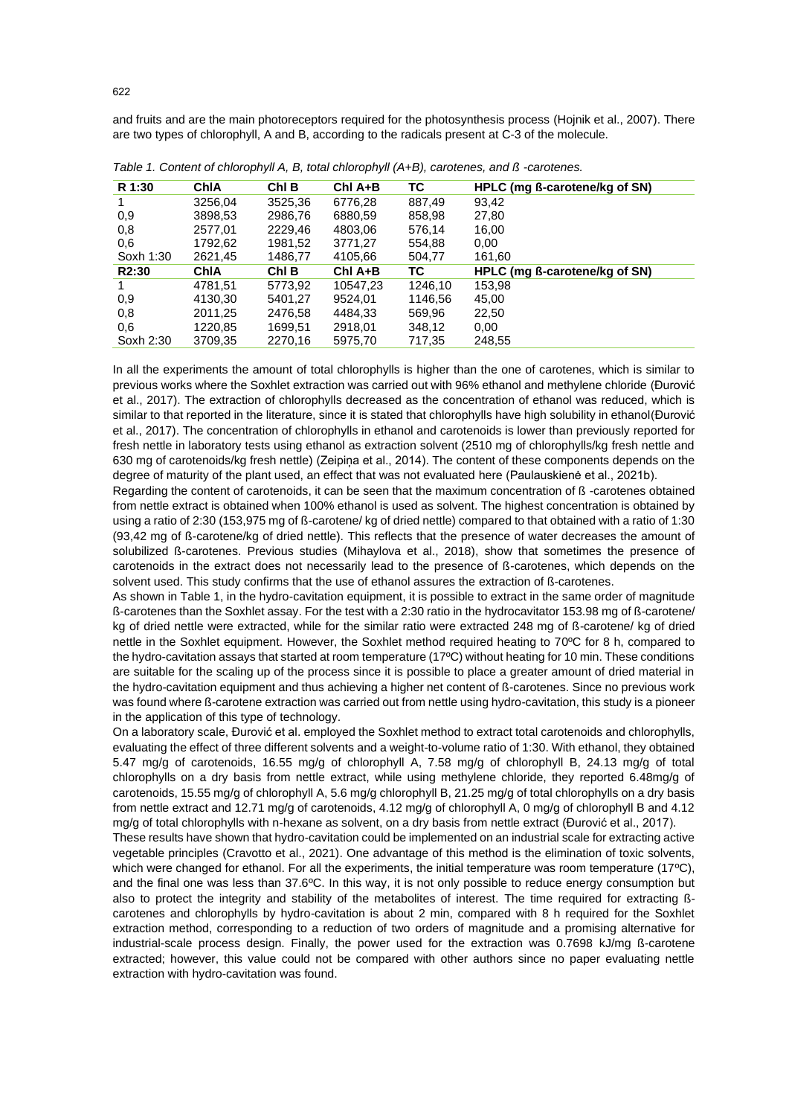and fruits and are the main photoreceptors required for the photosynthesis process (Hojnik et al., 2007). There are two types of chlorophyll, A and B, according to the radicals present at C-3 of the molecule.

| R 1:30             | ChIA    | Chl B   | Chl A+B   | ТC      | HPLC (mg ß-carotene/kg of SN) |
|--------------------|---------|---------|-----------|---------|-------------------------------|
|                    | 3256,04 | 3525,36 | 6776.28   | 887,49  | 93.42                         |
| 0.9                | 3898,53 | 2986,76 | 6880,59   | 858,98  | 27,80                         |
| 0,8                | 2577,01 | 2229,46 | 4803,06   | 576,14  | 16,00                         |
| 0,6                | 1792,62 | 1981,52 | 3771.27   | 554,88  | 0,00                          |
| Soxh 1:30          | 2621,45 | 1486,77 | 4105,66   | 504,77  | 161,60                        |
| R <sub>2</sub> :30 | ChIA    | ChI B   | $ChI$ A+B | ТC      | HPLC (mg ß-carotene/kg of SN) |
|                    | 4781.51 | 5773,92 | 10547.23  | 1246.10 | 153,98                        |
| 0.9                | 4130,30 | 5401.27 | 9524.01   | 1146,56 | 45,00                         |
| 0,8                | 2011,25 | 2476.58 | 4484.33   | 569,96  | 22,50                         |
| 0,6                | 1220,85 | 1699,51 | 2918,01   | 348,12  | 0.00 <sub>1</sub>             |
| Soxh 2:30          | 3709,35 | 2270,16 | 5975,70   | 717,35  | 248,55                        |

*Table 1. Content of chlorophyll A, B, total chlorophyll (A+B), carotenes, and ß -carotenes.*

In all the experiments the amount of total chlorophylls is higher than the one of carotenes, which is similar to previous works where the Soxhlet extraction was carried out with 96% ethanol and methylene chloride (Đurović et al., 2017). The extraction of chlorophylls decreased as the concentration of ethanol was reduced, which is similar to that reported in the literature, since it is stated that chlorophylls have high solubility in ethanol(Đurović et al., 2017). The concentration of chlorophylls in ethanol and carotenoids is lower than previously reported for fresh nettle in laboratory tests using ethanol as extraction solvent (2510 mg of chlorophylls/kg fresh nettle and 630 mg of carotenoids/kg fresh nettle) (Zeipiņa et al., 2014). The content of these components depends on the degree of maturity of the plant used, an effect that was not evaluated here (Paulauskienė et al., 2021b).

Regarding the content of carotenoids, it can be seen that the maximum concentration of ß -carotenes obtained from nettle extract is obtained when 100% ethanol is used as solvent. The highest concentration is obtained by using a ratio of 2:30 (153,975 mg of ß-carotene/ kg of dried nettle) compared to that obtained with a ratio of 1:30 (93,42 mg of ß-carotene/kg of dried nettle). This reflects that the presence of water decreases the amount of solubilized ß-carotenes. Previous studies (Mihaylova et al., 2018), show that sometimes the presence of carotenoids in the extract does not necessarily lead to the presence of ß-carotenes, which depends on the solvent used. This study confirms that the use of ethanol assures the extraction of ß-carotenes.

As shown in Table 1, in the hydro-cavitation equipment, it is possible to extract in the same order of magnitude ß-carotenes than the Soxhlet assay. For the test with a 2:30 ratio in the hydrocavitator 153.98 mg of ß-carotene/ kg of dried nettle were extracted, while for the similar ratio were extracted 248 mg of ß-carotene/ kg of dried nettle in the Soxhlet equipment. However, the Soxhlet method required heating to 70ºC for 8 h, compared to the hydro-cavitation assays that started at room temperature (17ºC) without heating for 10 min. These conditions are suitable for the scaling up of the process since it is possible to place a greater amount of dried material in the hydro-cavitation equipment and thus achieving a higher net content of ß-carotenes. Since no previous work was found where ß-carotene extraction was carried out from nettle using hydro-cavitation, this study is a pioneer in the application of this type of technology.

On a laboratory scale, Đurović et al. employed the Soxhlet method to extract total carotenoids and chlorophylls, evaluating the effect of three different solvents and a weight-to-volume ratio of 1:30. With ethanol, they obtained 5.47 mg/g of carotenoids, 16.55 mg/g of chlorophyll A, 7.58 mg/g of chlorophyll B, 24.13 mg/g of total chlorophylls on a dry basis from nettle extract, while using methylene chloride, they reported 6.48mg/g of carotenoids, 15.55 mg/g of chlorophyll A, 5.6 mg/g chlorophyll B, 21.25 mg/g of total chlorophylls on a dry basis from nettle extract and 12.71 mg/g of carotenoids, 4.12 mg/g of chlorophyll A, 0 mg/g of chlorophyll B and 4.12 mg/g of total chlorophylls with n-hexane as solvent, on a dry basis from nettle extract (Đurović et al., 2017).

These results have shown that hydro-cavitation could be implemented on an industrial scale for extracting active vegetable principles (Cravotto et al., 2021). One advantage of this method is the elimination of toxic solvents, which were changed for ethanol. For all the experiments, the initial temperature was room temperature (17°C), and the final one was less than 37.6ºC. In this way, it is not only possible to reduce energy consumption but also to protect the integrity and stability of the metabolites of interest. The time required for extracting ßcarotenes and chlorophylls by hydro-cavitation is about 2 min, compared with 8 h required for the Soxhlet extraction method, corresponding to a reduction of two orders of magnitude and a promising alternative for industrial-scale process design. Finally, the power used for the extraction was 0.7698 kJ/mg ß-carotene extracted; however, this value could not be compared with other authors since no paper evaluating nettle extraction with hydro-cavitation was found.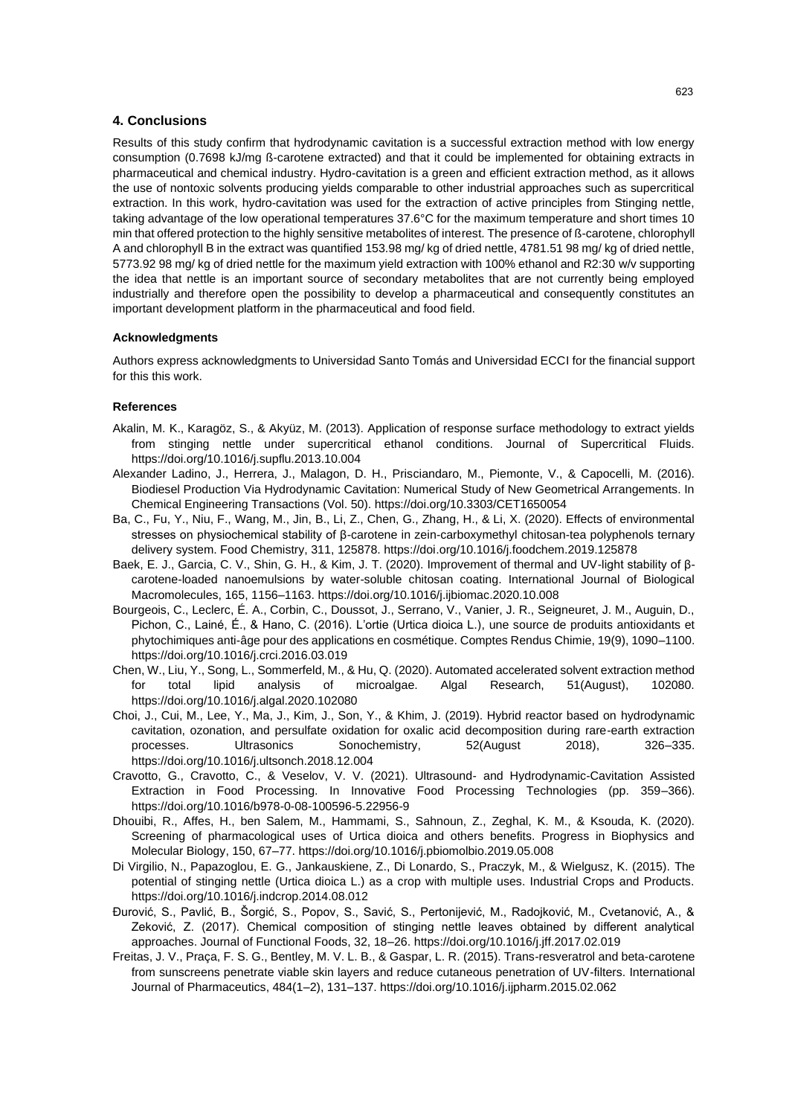#### **4. Conclusions**

Results of this study confirm that hydrodynamic cavitation is a successful extraction method with low energy consumption (0.7698 kJ/mg ß-carotene extracted) and that it could be implemented for obtaining extracts in pharmaceutical and chemical industry. Hydro-cavitation is a green and efficient extraction method, as it allows the use of nontoxic solvents producing yields comparable to other industrial approaches such as supercritical extraction. In this work, hydro-cavitation was used for the extraction of active principles from Stinging nettle, taking advantage of the low operational temperatures 37.6°C for the maximum temperature and short times 10 min that offered protection to the highly sensitive metabolites of interest. The presence of ß-carotene, chlorophyll A and chlorophyll B in the extract was quantified 153.98 mg/ kg of dried nettle, 4781.51 98 mg/ kg of dried nettle, 5773.92 98 mg/ kg of dried nettle for the maximum yield extraction with 100% ethanol and R2:30 w/v supporting the idea that nettle is an important source of secondary metabolites that are not currently being employed industrially and therefore open the possibility to develop a pharmaceutical and consequently constitutes an important development platform in the pharmaceutical and food field.

#### **Acknowledgments**

Authors express acknowledgments to Universidad Santo Tomás and Universidad ECCI for the financial support for this this work.

#### **References**

- Akalin, M. K., Karagöz, S., & Akyüz, M. (2013). Application of response surface methodology to extract yields from stinging nettle under supercritical ethanol conditions. Journal of Supercritical Fluids. https://doi.org/10.1016/j.supflu.2013.10.004
- Alexander Ladino, J., Herrera, J., Malagon, D. H., Prisciandaro, M., Piemonte, V., & Capocelli, M. (2016). Biodiesel Production Via Hydrodynamic Cavitation: Numerical Study of New Geometrical Arrangements. In Chemical Engineering Transactions (Vol. 50). https://doi.org/10.3303/CET1650054
- Ba, C., Fu, Y., Niu, F., Wang, M., Jin, B., Li, Z., Chen, G., Zhang, H., & Li, X. (2020). Effects of environmental stresses on physiochemical stability of β-carotene in zein-carboxymethyl chitosan-tea polyphenols ternary delivery system. Food Chemistry, 311, 125878. https://doi.org/10.1016/j.foodchem.2019.125878
- Baek, E. J., Garcia, C. V., Shin, G. H., & Kim, J. T. (2020). Improvement of thermal and UV-light stability of βcarotene-loaded nanoemulsions by water-soluble chitosan coating. International Journal of Biological Macromolecules, 165, 1156–1163. https://doi.org/10.1016/j.ijbiomac.2020.10.008
- Bourgeois, C., Leclerc, É. A., Corbin, C., Doussot, J., Serrano, V., Vanier, J. R., Seigneuret, J. M., Auguin, D., Pichon, C., Lainé, É., & Hano, C. (2016). L'ortie (Urtica dioica L.), une source de produits antioxidants et phytochimiques anti-âge pour des applications en cosmétique. Comptes Rendus Chimie, 19(9), 1090–1100. https://doi.org/10.1016/j.crci.2016.03.019
- Chen, W., Liu, Y., Song, L., Sommerfeld, M., & Hu, Q. (2020). Automated accelerated solvent extraction method for total lipid analysis of microalgae. Algal Research, 51(August), 102080. https://doi.org/10.1016/j.algal.2020.102080
- Choi, J., Cui, M., Lee, Y., Ma, J., Kim, J., Son, Y., & Khim, J. (2019). Hybrid reactor based on hydrodynamic cavitation, ozonation, and persulfate oxidation for oxalic acid decomposition during rare-earth extraction processes. Ultrasonics Sonochemistry, 52(August 2018), 326–335. https://doi.org/10.1016/j.ultsonch.2018.12.004
- Cravotto, G., Cravotto, C., & Veselov, V. V. (2021). Ultrasound- and Hydrodynamic-Cavitation Assisted Extraction in Food Processing. In Innovative Food Processing Technologies (pp. 359–366). https://doi.org/10.1016/b978-0-08-100596-5.22956-9
- Dhouibi, R., Affes, H., ben Salem, M., Hammami, S., Sahnoun, Z., Zeghal, K. M., & Ksouda, K. (2020). Screening of pharmacological uses of Urtica dioica and others benefits. Progress in Biophysics and Molecular Biology, 150, 67–77. https://doi.org/10.1016/j.pbiomolbio.2019.05.008
- Di Virgilio, N., Papazoglou, E. G., Jankauskiene, Z., Di Lonardo, S., Praczyk, M., & Wielgusz, K. (2015). The potential of stinging nettle (Urtica dioica L.) as a crop with multiple uses. Industrial Crops and Products. https://doi.org/10.1016/j.indcrop.2014.08.012
- Đurović, S., Pavlić, B., Šorgić, S., Popov, S., Savić, S., Pertonijević, M., Radojković, M., Cvetanović, A., & Zeković, Z. (2017). Chemical composition of stinging nettle leaves obtained by different analytical approaches. Journal of Functional Foods, 32, 18–26. https://doi.org/10.1016/j.jff.2017.02.019
- Freitas, J. V., Praça, F. S. G., Bentley, M. V. L. B., & Gaspar, L. R. (2015). Trans-resveratrol and beta-carotene from sunscreens penetrate viable skin layers and reduce cutaneous penetration of UV-filters. International Journal of Pharmaceutics, 484(1–2), 131–137. https://doi.org/10.1016/j.ijpharm.2015.02.062